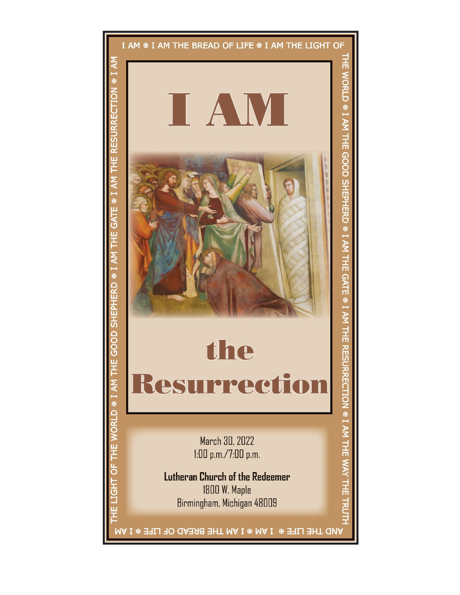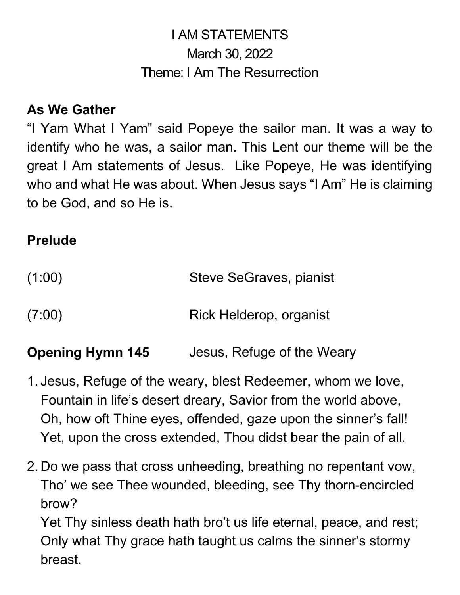# I AM STATEMENTS March 30, 2022 Theme: I Am The Resurrection

### **As We Gather**

"I Yam What I Yam" said Popeye the sailor man. It was a way to identify who he was, a sailor man. This Lent our theme will be the great I Am statements of Jesus. Like Popeye, He was identifying who and what He was about. When Jesus says "I Am" He is claiming to be God, and so He is.

### **Prelude**

| (1:00) | Steve SeGraves, pianist |
|--------|-------------------------|
| (7:00) | Rick Helderop, organist |

**Opening Hymn 145** Jesus, Refuge of the Weary

- 1. Jesus, Refuge of the weary, blest Redeemer, whom we love, Fountain in life's desert dreary, Savior from the world above, Oh, how oft Thine eyes, offended, gaze upon the sinner's fall! Yet, upon the cross extended, Thou didst bear the pain of all.
- 2. Do we pass that cross unheeding, breathing no repentant vow, Tho' we see Thee wounded, bleeding, see Thy thorn-encircled brow?

Yet Thy sinless death hath bro't us life eternal, peace, and rest; Only what Thy grace hath taught us calms the sinner's stormy breast.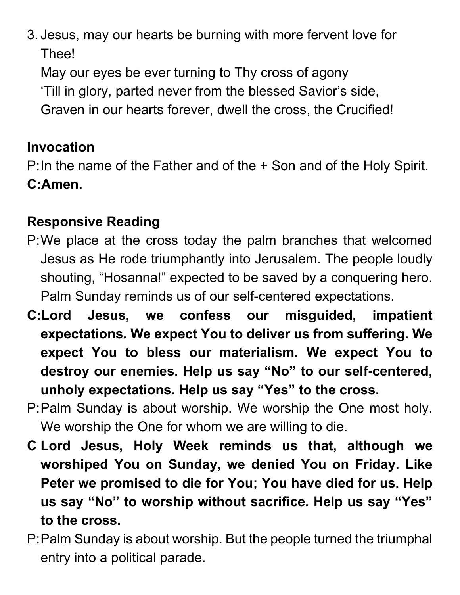3. Jesus, may our hearts be burning with more fervent love for Thee!

May our eyes be ever turning to Thy cross of agony 'Till in glory, parted never from the blessed Savior's side, Graven in our hearts forever, dwell the cross, the Crucified!

## **Invocation**

P:In the name of the Father and of the + Son and of the Holy Spirit. **C:Amen.**

# **Responsive Reading**

- P:We place at the cross today the palm branches that welcomed Jesus as He rode triumphantly into Jerusalem. The people loudly shouting, "Hosanna!" expected to be saved by a conquering hero. Palm Sunday reminds us of our self-centered expectations.
- **C:Lord Jesus, we confess our misguided, impatient expectations. We expect You to deliver us from suffering. We expect You to bless our materialism. We expect You to destroy our enemies. Help us say "No" to our self-centered, unholy expectations. Help us say "Yes" to the cross.**
- P:Palm Sunday is about worship. We worship the One most holy. We worship the One for whom we are willing to die.
- **C Lord Jesus, Holy Week reminds us that, although we worshiped You on Sunday, we denied You on Friday. Like Peter we promised to die for You; You have died for us. Help us say "No" to worship without sacrifice. Help us say "Yes" to the cross.**
- P:Palm Sunday is about worship. But the people turned the triumphal entry into a political parade.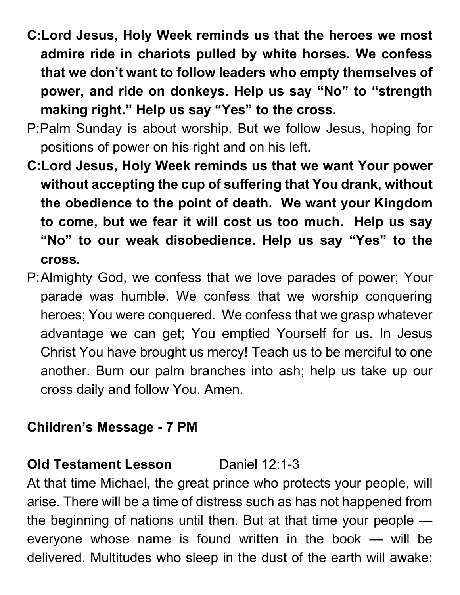- **C:Lord Jesus, Holy Week reminds us that the heroes we most admire ride in chariots pulled by white horses. We confess that we don't want to follow leaders who empty themselves of power, and ride on donkeys. Help us say "No" to "strength making right." Help us say "Yes" to the cross.**
- P:Palm Sunday is about worship. But we follow Jesus, hoping for positions of power on his right and on his left.
- **C:Lord Jesus, Holy Week reminds us that we want Your power without accepting the cup of suffering that You drank, without the obedience to the point of death. We want your Kingdom to come, but we fear it will cost us too much. Help us say "No" to our weak disobedience. Help us say "Yes" to the cross.**
- P:Almighty God, we confess that we love parades of power; Your parade was humble. We confess that we worship conquering heroes; You were conquered. We confess that we grasp whatever advantage we can get; You emptied Yourself for us. In Jesus Christ You have brought us mercy! Teach us to be merciful to one another. Burn our palm branches into ash; help us take up our cross daily and follow You. Amen.

### **Children's Message - 7 PM**

### **Old Testament Lesson Daniel 12:1-3**

At that time Michael, the great prince who protects your people, will arise. There will be a time of distress such as has not happened from the beginning of nations until then. But at that time your people everyone whose name is found written in the book — will be delivered. Multitudes who sleep in the dust of the earth will awake: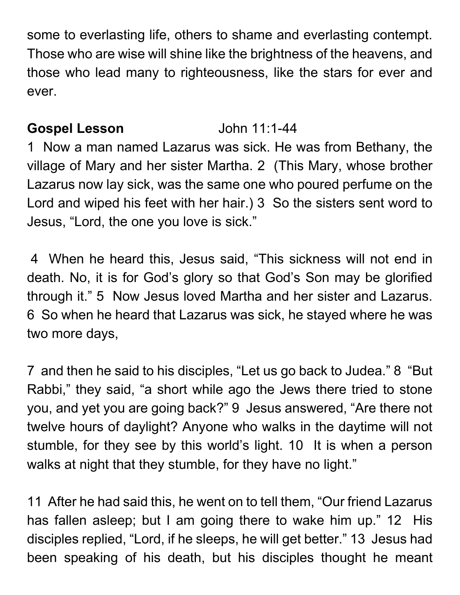some to everlasting life, others to shame and everlasting contempt. Those who are wise will shine like the brightness of the heavens, and those who lead many to righteousness, like the stars for ever and ever.

### **Gospel Lesson** John 11:1-44

1 Now a man named Lazarus was sick. He was from Bethany, the village of Mary and her sister Martha. 2 (This Mary, whose brother Lazarus now lay sick, was the same one who poured perfume on the Lord and wiped his feet with her hair.) 3 So the sisters sent word to Jesus, "Lord, the one you love is sick."

4 When he heard this, Jesus said, "This sickness will not end in death. No, it is for God's glory so that God's Son may be glorified through it." 5 Now Jesus loved Martha and her sister and Lazarus. 6 So when he heard that Lazarus was sick, he stayed where he was two more days,

7 and then he said to his disciples, "Let us go back to Judea." 8 "But Rabbi," they said, "a short while ago the Jews there tried to stone you, and yet you are going back?" 9 Jesus answered, "Are there not twelve hours of daylight? Anyone who walks in the daytime will not stumble, for they see by this world's light. 10 It is when a person walks at night that they stumble, for they have no light."

11 After he had said this, he went on to tell them, "Our friend Lazarus has fallen asleep; but I am going there to wake him up." 12 His disciples replied, "Lord, if he sleeps, he will get better." 13 Jesus had been speaking of his death, but his disciples thought he meant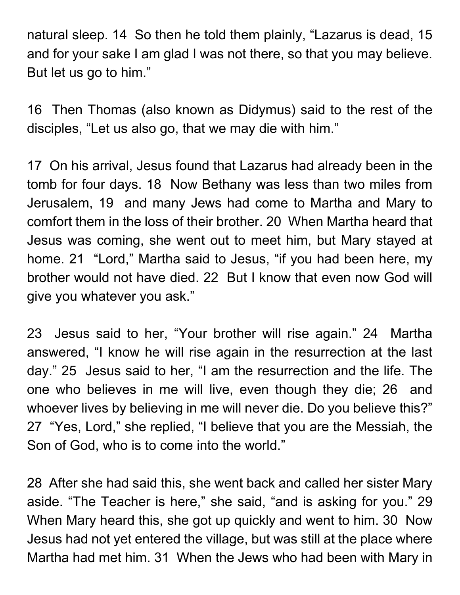natural sleep. 14 So then he told them plainly, "Lazarus is dead, 15 and for your sake I am glad I was not there, so that you may believe. But let us go to him."

16 Then Thomas (also known as Didymus) said to the rest of the disciples, "Let us also go, that we may die with him."

17 On his arrival, Jesus found that Lazarus had already been in the tomb for four days. 18 Now Bethany was less than two miles from Jerusalem, 19 and many Jews had come to Martha and Mary to comfort them in the loss of their brother. 20 When Martha heard that Jesus was coming, she went out to meet him, but Mary stayed at home. 21 "Lord," Martha said to Jesus, "if you had been here, my brother would not have died. 22 But I know that even now God will give you whatever you ask."

23 Jesus said to her, "Your brother will rise again." 24 Martha answered, "I know he will rise again in the resurrection at the last day." 25 Jesus said to her, "I am the resurrection and the life. The one who believes in me will live, even though they die; 26 and whoever lives by believing in me will never die. Do you believe this?" 27 "Yes, Lord," she replied, "I believe that you are the Messiah, the Son of God, who is to come into the world."

28 After she had said this, she went back and called her sister Mary aside. "The Teacher is here," she said, "and is asking for you." 29 When Mary heard this, she got up quickly and went to him. 30 Now Jesus had not yet entered the village, but was still at the place where Martha had met him. 31 When the Jews who had been with Mary in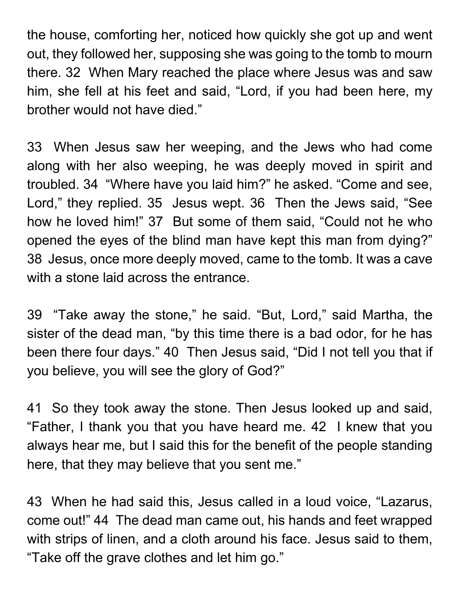the house, comforting her, noticed how quickly she got up and went out, they followed her, supposing she was going to the tomb to mourn there. 32 When Mary reached the place where Jesus was and saw him, she fell at his feet and said, "Lord, if you had been here, my brother would not have died."

33 When Jesus saw her weeping, and the Jews who had come along with her also weeping, he was deeply moved in spirit and troubled. 34 "Where have you laid him?" he asked. "Come and see, Lord," they replied. 35 Jesus wept. 36 Then the Jews said, "See how he loved him!" 37 But some of them said, "Could not he who opened the eyes of the blind man have kept this man from dying?" 38 Jesus, once more deeply moved, came to the tomb. It was a cave with a stone laid across the entrance.

39 "Take away the stone," he said. "But, Lord," said Martha, the sister of the dead man, "by this time there is a bad odor, for he has been there four days." 40 Then Jesus said, "Did I not tell you that if you believe, you will see the glory of God?"

41 So they took away the stone. Then Jesus looked up and said, "Father, I thank you that you have heard me. 42 I knew that you always hear me, but I said this for the benefit of the people standing here, that they may believe that you sent me."

43 When he had said this, Jesus called in a loud voice, "Lazarus, come out!" 44 The dead man came out, his hands and feet wrapped with strips of linen, and a cloth around his face. Jesus said to them, "Take off the grave clothes and let him go."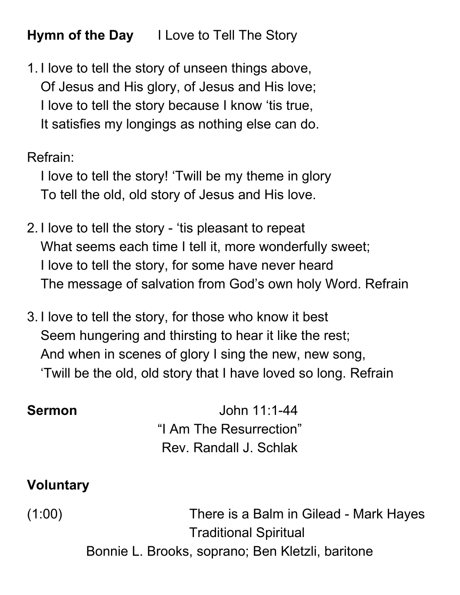**Hymn of the Day** I Love to Tell The Story

1. I love to tell the story of unseen things above, Of Jesus and His glory, of Jesus and His love; I love to tell the story because I know 'tis true, It satisfies my longings as nothing else can do.

Refrain:

I love to tell the story! 'Twill be my theme in glory To tell the old, old story of Jesus and His love.

- 2. I love to tell the story 'tis pleasant to repeat What seems each time I tell it, more wonderfully sweet; I love to tell the story, for some have never heard The message of salvation from God's own holy Word. Refrain
- 3. I love to tell the story, for those who know it best Seem hungering and thirsting to hear it like the rest; And when in scenes of glory I sing the new, new song, 'Twill be the old, old story that I have loved so long. Refrain

**Sermon** John 11:1-44 "I Am The Resurrection" Rev. Randall J. Schlak

### **Voluntary**

(1:00) There is a Balm in Gilead - Mark Hayes Traditional Spiritual

Bonnie L. Brooks, soprano; Ben Kletzli, baritone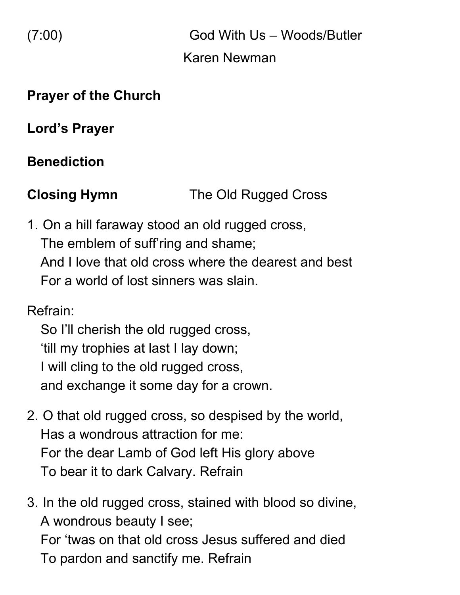(7:00) God With Us – Woods/Butler Karen Newman

### **Prayer of the Church**

**Lord's Prayer**

# **Benediction**

**Closing Hymn** The Old Rugged Cross

1. On a hill faraway stood an old rugged cross, The emblem of suff'ring and shame; And I love that old cross where the dearest and best For a world of lost sinners was slain.

Refrain:

So I'll cherish the old rugged cross, 'till my trophies at last I lay down; I will cling to the old rugged cross, and exchange it some day for a crown.

- 2. O that old rugged cross, so despised by the world, Has a wondrous attraction for me: For the dear Lamb of God left His glory above To bear it to dark Calvary. Refrain
- 3. In the old rugged cross, stained with blood so divine, A wondrous beauty I see; For 'twas on that old cross Jesus suffered and died To pardon and sanctify me. Refrain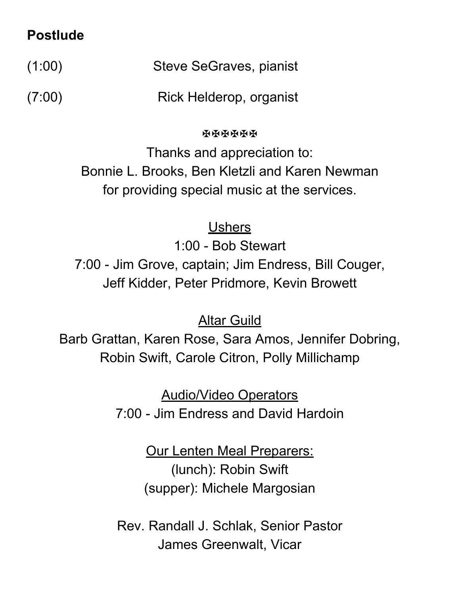### **Postlude**

(1:00) Steve SeGraves, pianist

(7:00) Rick Helderop, organist

**RRRRRR** 

Thanks and appreciation to: Bonnie L. Brooks, Ben Kletzli and Karen Newman for providing special music at the services.

Ushers

1:00 - Bob Stewart 7:00 - Jim Grove, captain; Jim Endress, Bill Couger, Jeff Kidder, Peter Pridmore, Kevin Browett

Altar Guild

Barb Grattan, Karen Rose, Sara Amos, Jennifer Dobring, Robin Swift, Carole Citron, Polly Millichamp

> Audio/Video Operators 7:00 - Jim Endress and David Hardoin

> > Our Lenten Meal Preparers: (lunch): Robin Swift (supper): Michele Margosian

Rev. Randall J. Schlak, Senior Pastor James Greenwalt, Vicar